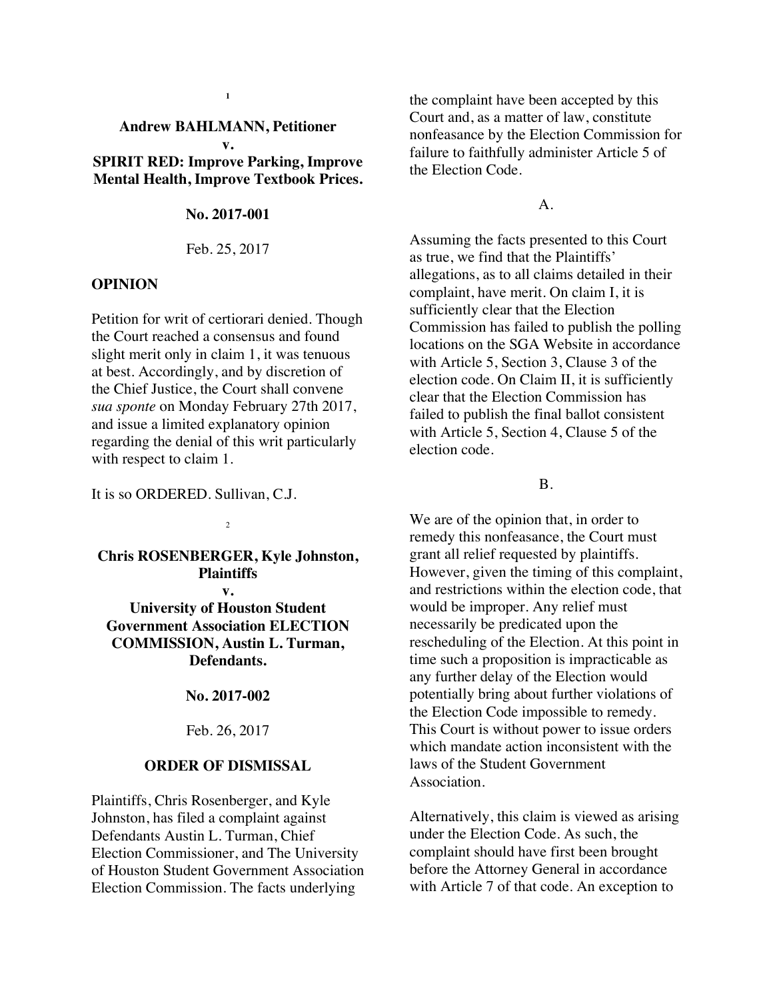#### **Andrew BAHLMANN, Petitioner v.**

**1**

**SPIRIT RED: Improve Parking, Improve Mental Health, Improve Textbook Prices.**

## **No. 2017-001**

Feb. 25, 2017

### **OPINION**

Petition for writ of certiorari denied. Though the Court reached a consensus and found slight merit only in claim 1, it was tenuous at best. Accordingly, and by discretion of the Chief Justice, the Court shall convene *sua sponte* on Monday February 27th 2017, and issue a limited explanatory opinion regarding the denial of this writ particularly with respect to claim 1.

It is so ORDERED. Sullivan, C.J.

#### $\overline{2}$

**Chris ROSENBERGER, Kyle Johnston, Plaintiffs v.**

**University of Houston Student Government Association ELECTION COMMISSION, Austin L. Turman, Defendants.** 

#### **No. 2017-002**

### Feb. 26, 2017

#### **ORDER OF DISMISSAL**

Plaintiffs, Chris Rosenberger, and Kyle Johnston, has filed a complaint against Defendants Austin L. Turman, Chief Election Commissioner, and The University of Houston Student Government Association Election Commission. The facts underlying

the complaint have been accepted by this Court and, as a matter of law, constitute nonfeasance by the Election Commission for failure to faithfully administer Article 5 of the Election Code.

## A.

Assuming the facts presented to this Court as true, we find that the Plaintiffs' allegations, as to all claims detailed in their complaint, have merit. On claim I, it is sufficiently clear that the Election Commission has failed to publish the polling locations on the SGA Website in accordance with Article 5, Section 3, Clause 3 of the election code. On Claim II, it is sufficiently clear that the Election Commission has failed to publish the final ballot consistent with Article 5, Section 4, Clause 5 of the election code.

## B.

We are of the opinion that, in order to remedy this nonfeasance, the Court must grant all relief requested by plaintiffs. However, given the timing of this complaint, and restrictions within the election code, that would be improper. Any relief must necessarily be predicated upon the rescheduling of the Election. At this point in time such a proposition is impracticable as any further delay of the Election would potentially bring about further violations of the Election Code impossible to remedy. This Court is without power to issue orders which mandate action inconsistent with the laws of the Student Government Association.

Alternatively, this claim is viewed as arising under the Election Code. As such, the complaint should have first been brought before the Attorney General in accordance with Article 7 of that code. An exception to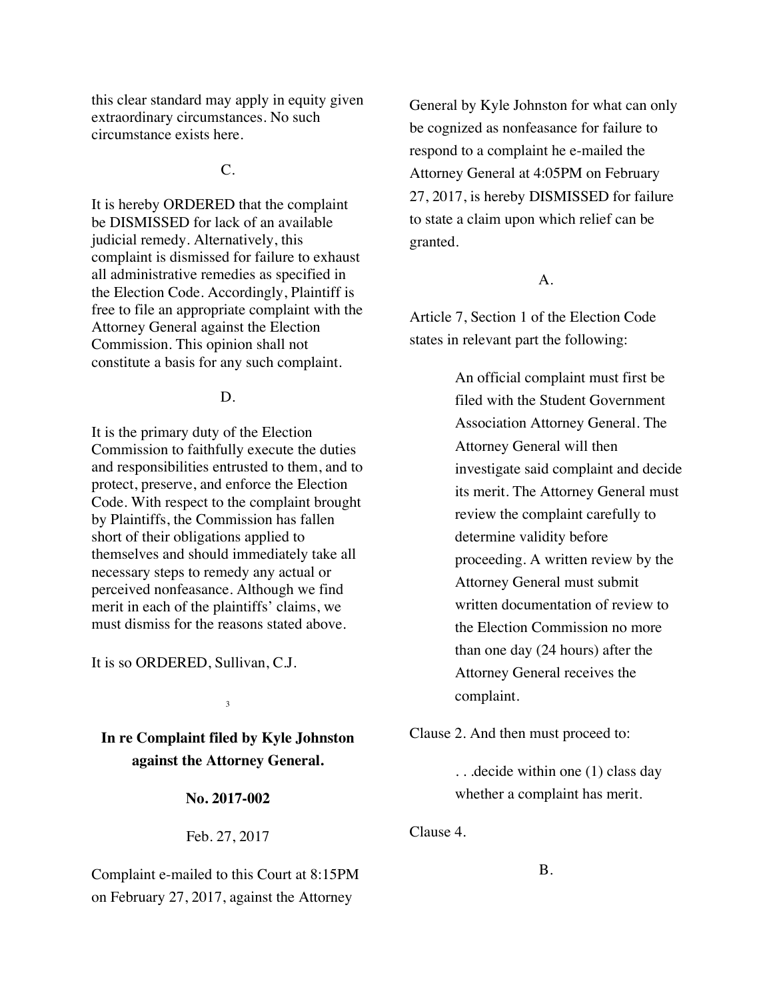this clear standard may apply in equity given extraordinary circumstances. No such circumstance exists here.

 $C_{\cdot}$ 

It is hereby ORDERED that the complaint be DISMISSED for lack of an available judicial remedy. Alternatively, this complaint is dismissed for failure to exhaust all administrative remedies as specified in the Election Code. Accordingly, Plaintiff is free to file an appropriate complaint with the Attorney General against the Election Commission. This opinion shall not constitute a basis for any such complaint.

### D.

It is the primary duty of the Election Commission to faithfully execute the duties and responsibilities entrusted to them, and to protect, preserve, and enforce the Election Code. With respect to the complaint brought by Plaintiffs, the Commission has fallen short of their obligations applied to themselves and should immediately take all necessary steps to remedy any actual or perceived nonfeasance. Although we find merit in each of the plaintiffs' claims, we must dismiss for the reasons stated above.

It is so ORDERED, Sullivan, C.J.

**In re Complaint filed by Kyle Johnston against the Attorney General.**

3

**No. 2017-002**

Feb. 27, 2017

Complaint e-mailed to this Court at 8:15PM on February 27, 2017, against the Attorney

General by Kyle Johnston for what can only be cognized as nonfeasance for failure to respond to a complaint he e-mailed the Attorney General at 4:05PM on February 27, 2017, is hereby DISMISSED for failure to state a claim upon which relief can be granted.

# A.

Article 7, Section 1 of the Election Code states in relevant part the following:

> An official complaint must first be filed with the Student Government Association Attorney General. The Attorney General will then investigate said complaint and decide its merit. The Attorney General must review the complaint carefully to determine validity before proceeding. A written review by the Attorney General must submit written documentation of review to the Election Commission no more than one day (24 hours) after the Attorney General receives the complaint.

Clause 2. And then must proceed to:

. . .decide within one (1) class day whether a complaint has merit.

Clause 4.

B.